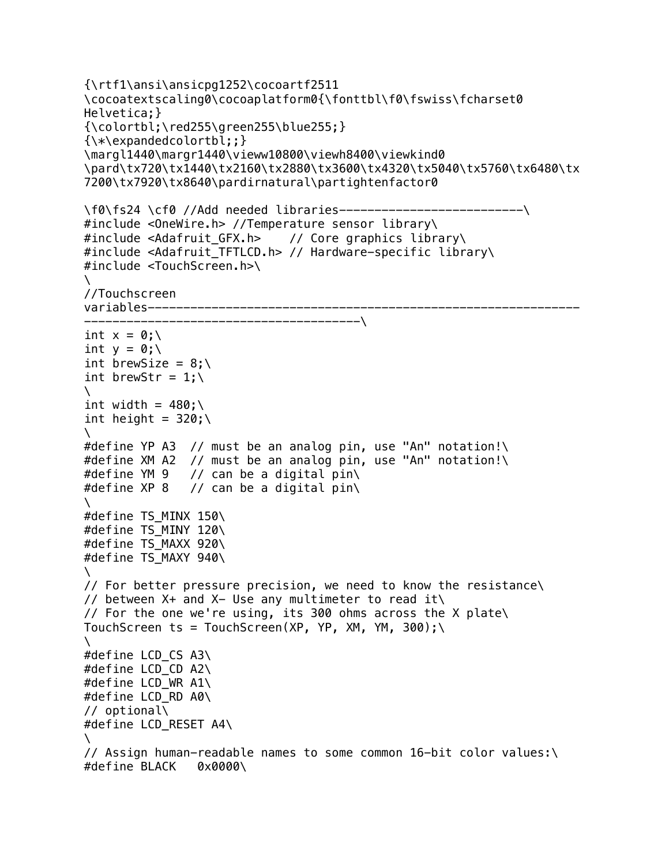```
{\rtf1\ansi\ansicpg1252\cocoartf2511
\cocoatextscaling0\cocoaplatform0{\fonttbl\f0\fswiss\fcharset0
Helvetica;}
\{\coolorthl; \red255\qreen255\blue255; }
{\*\expandedcolortbl;;}
\margl1440\margr1440\vieww10800\viewh8400\viewkind0
\pard\tx720\tx1440\tx2160\tx2880\tx3600\tx4320\tx5040\tx5760\tx6480\tx
7200\tx7920\tx8640\pardirnatural\partightenfactor0
\f0\fs24 \cf0 //Add needed libraries----------------------------------\
#include <OneWire.h> //Temperature sensor library\
#include <Adafruit_GFX.h> // Core graphics library\
#include <Adafruit_TFTLCD.h> // Hardware-specific library\
#include <TouchScreen.h>\
\setminus//Touchscreen 
variables-------------------------------
  ---------------------------------------\
int x = 0; \lambdaint y = 0;
int brewSize = 8:\int brewStr = 1:\\
int width = 480;
int height = 320;
\lambda#define YP A3 // must be an analog pin, use "An" notation!\
#define XM A2 // must be an analog pin, use "An" notation!\
#define YM 9 // can be a digital pin\
#define XP 8 // can be a digital pin\
\lambda#define TS MINX 150\
#define TS_MINY 120\
#define TS MAXX 920\
#define TS MAXY 940\
\lambda// For better pressure precision, we need to know the resistance\
// between X+ and X- Use any multimeter to read it\
// For the one we're using, its 300 ohms across the X plate\
TouchScreen ts = TouchScreen(XP, YP, XM, YM, 300);\
\lambda#define LCD CS A3\
#define LCD_CD A2\
#define LCD_WR A1\
#define LCD_RD A0\
// optional\
#define LCD_RESET A4\
\lambda// Assign human-readable names to some common 16-bit color values:\
#define BLACK 0x0000\
```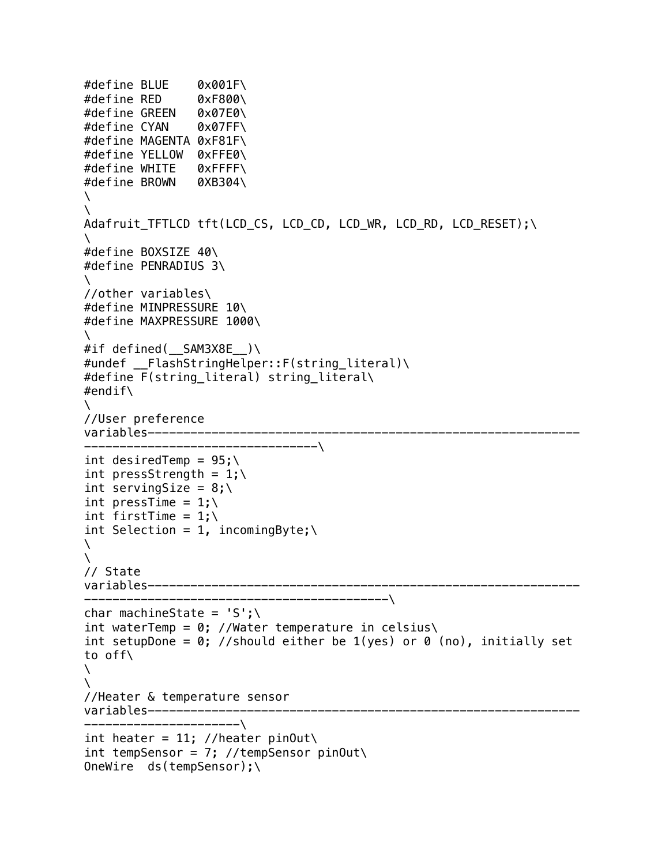```
#define BLUE 0x001F\
#define RED 0xF800\
#define GREEN 0x07E0\
#define CYAN 0x07FF\
#define MAGENTA 0xF81F\
#define YELLOW 0xFFE0\
#define WHITE 0xFFFF\
#define BROWN 0XB304\
\
\setminusAdafruit_TFTLCD tft(LCD_CS, LCD_CD, LCD_WR, LCD_RD, LCD_RESET);\
\lambda#define BOXSIZE 40\
#define PENRADIUS 3\
\setminus//other variables\
#define MINPRESSURE 10\
#define MAXPRESSURE 1000\
\
#if defined(__SAM3X8E__)\
#undef FlashStringHelper::F(string literal)\
#define F(string_literal) string_literal\
#endif\
\setminus//User preference 
variables----------------------
---------------------------------\
int desiredTemp = 95;
int pressStrength = 1; \int serving Size = 8;
int pressTime = 1;
int firstTime = 1;
int Selection = 1, incomingByte; \
\lambda\lambda// State 
variables-------------------------------------------------------------
-------------------------------------------\
char machineState = 'S':\ \int waterTemp = 0; //Water temperature in celsius\
int setupDone = 0; //should either be 1(yes) or 0 (no), initially set
to off\
\setminus\lambda//Heater & temperature sensor 
variables-------------------------------------------------------------
----------------------\
int heater = 11; //heater pinOut\
int tempSensor = 7; //tempSensor pinOut\
OneWire ds(tempSensor);\
```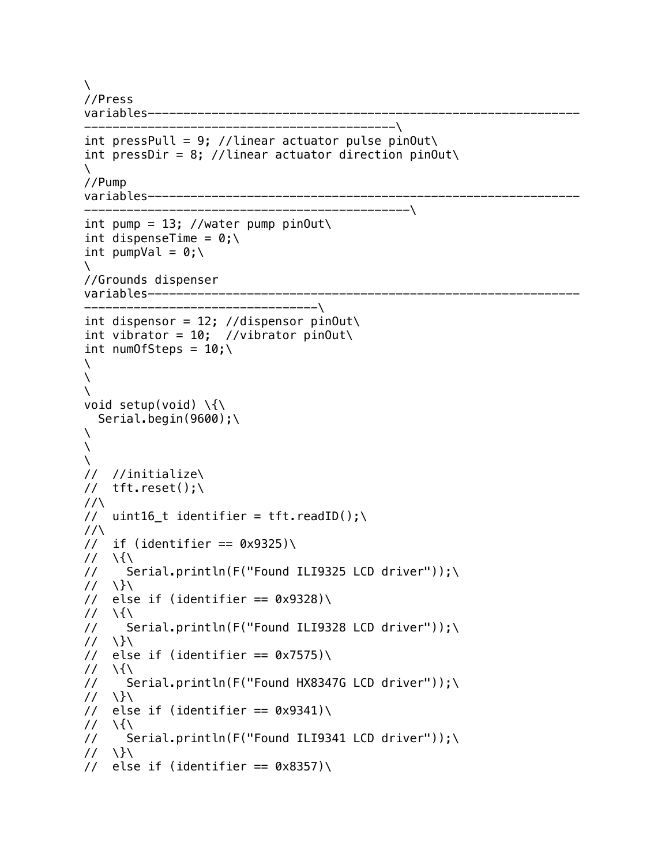```
\setminus//Press 
variables-------------------------------------------------------------
--------------------------------------------\
int pressPull = 9; //linear actuator pulse pinOut\
int pressDir = 8; //linear actuator direction pinOut\
\setminus//Pump 
variables-------------------------------------------------------------
----------------------------------------------\
int pump = 13; //water pump pinOut\
int dispenseTime = 0;\lambdaint pumpVal = 0; \backslash\lambda//Grounds dispenser 
variables-------------------------------------------------------------
---------------------------------\
int dispensor = 12; //dispensor pinOut\
int vibrator = 10; //vibrator pinOut\
int numOfSteps = 10:\\lambda\lambda\
void setup(void) \setminus \{\setminus\}Serial.begin(9600);\
\setminus\mathcal{N}\setminus// //initialize\
// tft.reset() :
\frac{1}{\sqrt{2}}// uint16_t identifier = tft.readID();\
\frac{1}{\sqrt{2}}// if (identifier == 0 \times 9325)
\frac{1}{\sqrt{2}}// Serial.println(F("Found ILI9325 LCD driver"));\
\frac{1}{\sqrt{2}}// else if (identifier == 0 \times 9328)
\frac{1}{\sqrt{2}}// Serial.println(F("Found ILI9328 LCD driver"));\
\frac{1}{\sqrt{2}}// else if (identifier == 0x7575)
\frac{1}{\sqrt{2}}// Serial.println(F("Found HX8347G LCD driver"));\
\frac{1}{\sqrt{2}}// else if (identifier == 0 \times 9341)
\frac{1}{\sqrt{2}}// Serial.println(F("Found ILI9341 LCD driver"));\
\frac{1}{\sqrt{2}}// else if (identifier == 0 \times 8357)
```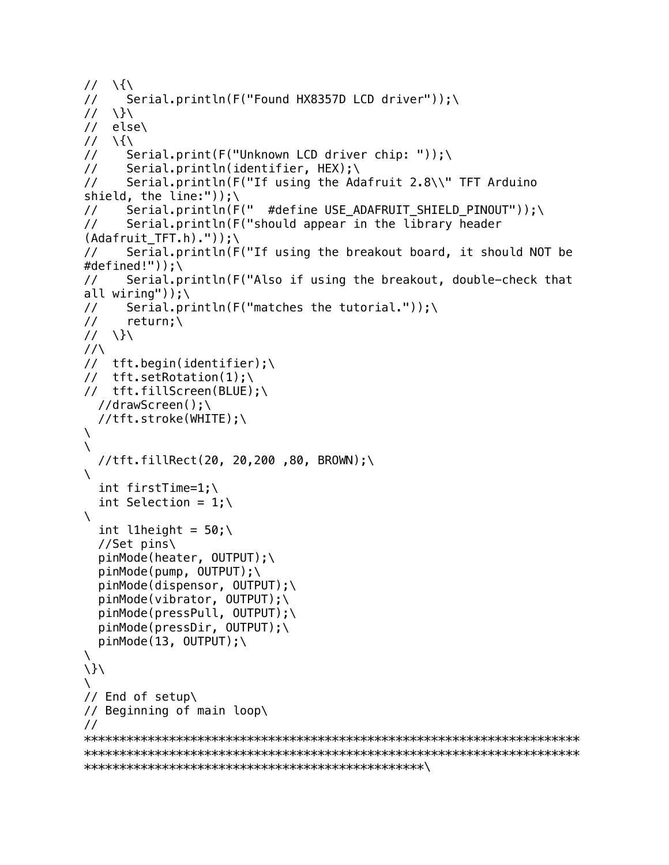```
\frac{1}{\sqrt{2}}// Serial.println(F("Found HX8357D LCD driver"));\
\frac{1}{\sqrt{2}}// else\
\frac{1}{\sqrt{2}}// Serial.print(F("Unknown LCD driver chip: "));\
// Serial.println(identifier, HEX);\
// Serial.println(F("If using the Adafruit 2.8\\" TFT Arduino 
shield, the line:"));\
// Serial.println(F(" #define USE_ADAFRUIT_SHIELD_PINOUT"));\
// Serial.println(F("should appear in the library header 
(Adafruit\_TFT.h)."));\
// Serial.println(F("If using the breakout board, it should NOT be 
#defined!"));\
// Serial.println(F("Also if using the breakout, double-check that 
all wiring"));\
// Serial.println(F("matches the tutorial."));\
\frac{1}{2} return;
// \}\
\frac{1}{\sqrt{2}}// tft.begin(identifier);\
// tft.setRotation(1);\
// tft.fillScreen(BLUE);\
   //drawScreen();\
   //tft.stroke(WHITE);\
\lambda\lambda //tft.fillRect(20, 20,200 ,80, BROWN);\
\lambda int firstTime=1;\
  int Selection = 1;\lambda\lambdaint l1height = 50;
   //Set pins\
   pinMode(heater, OUTPUT);\
  pinMode(pump, OUTPUT);\
   pinMode(dispensor, OUTPUT);\
   pinMode(vibrator, OUTPUT);\
   pinMode(pressPull, OUTPUT);\
   pinMode(pressDir, OUTPUT);\
  pinMode(13, OUTPUT);
\
\lambda\
// End of setup\
// Beginning of main loop\
//
**********************************************************************
**********************************************************************
************************************************\
```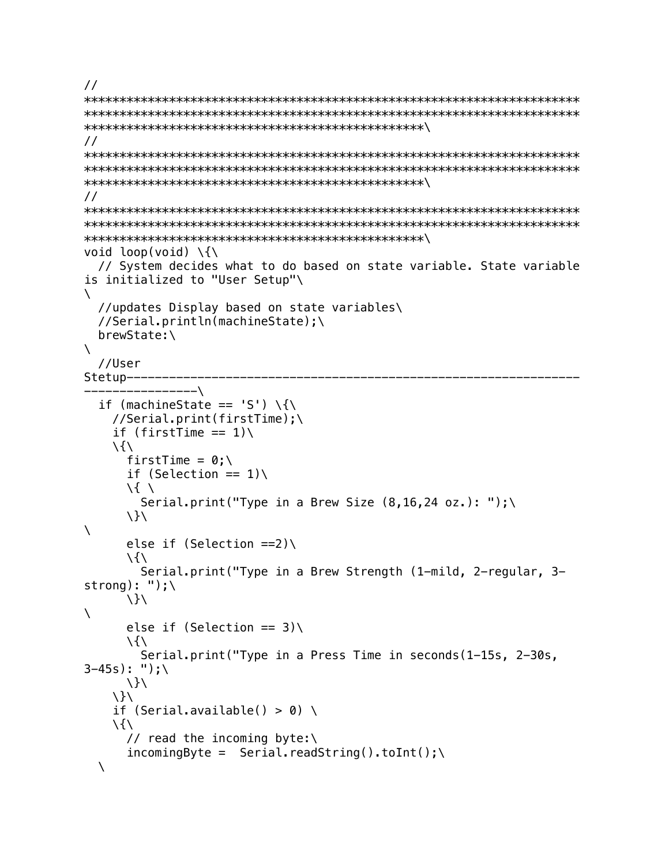```
//
**********************************************************************
**********************************************************************
************************************************\
//
**********************************************************************
**********************************************************************
************************************************\
//
**********************************************************************
**********************************************************************
************************************************\
void loop(void) \setminus \{\setminus\} // System decides what to do based on state variable. State variable 
is initialized to "User Setup"\
\setminus //updates Display based on state variables\
   //Serial.println(machineState);\
   brewState:\
\lambda //User 
Stetup----------------------------------------------------------------
 ----------------\
  if (machineState == 'S') \{\
     //Serial.print(firstTime);\
    if (firstTime == 1))
    \lambdafirstTime = 0:\`if (Selection == 1))
       \{ \
        Serial.print("Type in a Brew Size (8, 16, 24 oz.): ");\
      \setminus\lambdaelse if (Selection ==2))
      \langle \rangle Serial.print("Type in a Brew Strength (1-mild, 2-regular, 3-
strong): ");\
      \setminus\lambdaelse if (Selection == 3))
      \setminus Serial.print("Type in a Press Time in seconds(1-15s, 2-30s, 
3-45s: ");\
      \setminus}
    \setminus}
    if (Serial.available() > 0) \
    \setminus // read the incoming byte:\
      incomingByte = Serial.readString() .toInt() ; \\setminus
```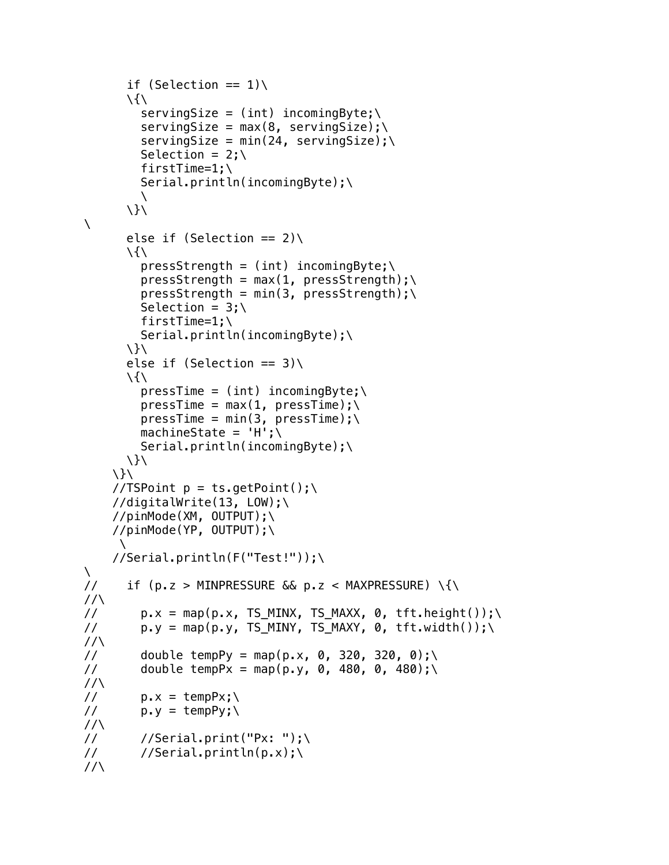```
if (Selection == 1))
      \langle \rangleservingSize = (int) incomingByte; \n\servingSize = max(8, servingSize);servingSize = min(24, servingSize);
         Selection = 2; \ firstTime=1;\
          Serial.println(incomingByte);\
         \setminus\setminus\lambdaelse if (Selection == 2))
      \langle \ranglepresStrength = (int) incomingByte; \presStrength = max(1, pressStrength); \presStrength = min(3, pressStrength);Selection = 3; \firstTime=1;\
          Serial.println(incomingByte);\
      \setminus}
      else if (Selection == 3))
      \lambdapresTime = (int) incomingByte; \npresTime = max(1, pressTime); \n\presTime = min(3, pressTime); \n\machineState = 'H';\dot{\wedge} Serial.println(incomingByte);\
      \setminus}
    \setminus}
    //TSPoint p = ts.getPoint();
     //digitalWrite(13, LOW);\
     //pinMode(XM, OUTPUT);\
     //pinMode(YP, OUTPUT);\
     \lambda //Serial.println(F("Test!"));\
\setminus// if (p.z > MINPRESSURE &amp; p.z < MAXPRESSURE)\frac{1}{\sqrt{2}}// p.x = map(p.x, TS_MINK, TS_MAXX, 0, tft.height());
// p.y = map(p.y, TS_MINY, TS_MAXY, 0, tft.width());\
\frac{1}{\sqrt{2}}// double tempPy = map(p.x, 0, 320, 320, 0);
// double tempPx = map(p.y, 0, 480, 0, 480);
\frac{1}{\sqrt{2}}// p.x = tempPx; \// p.y = tempPy; \lambda\frac{1}{\sqrt{2}}\frac{1}{2} //Serial.print("Px: ");
\frac{1}{2} //Serial.println(p.x);
\frac{1}{\sqrt{2}}
```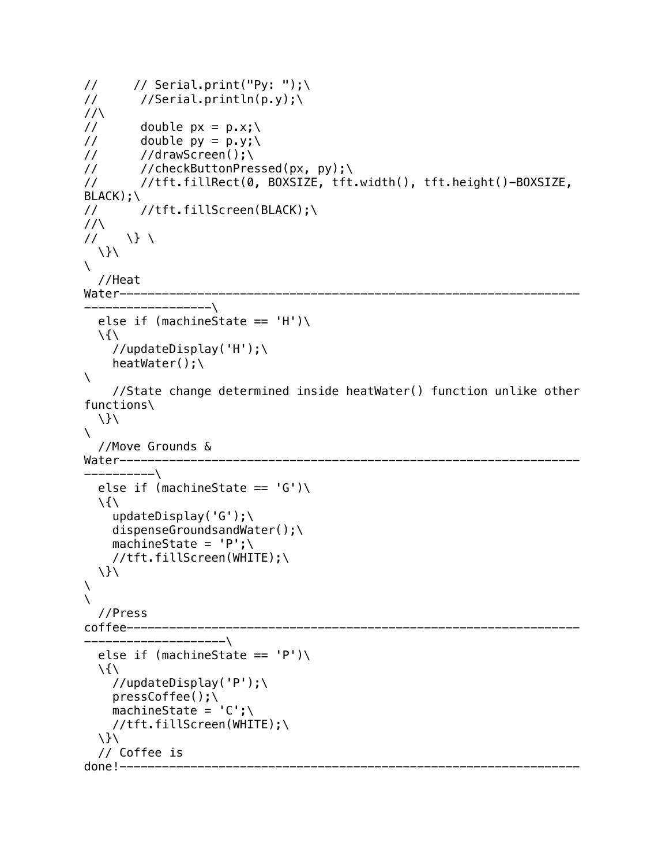```
\frac{1}{2} // Serial.print("Py: ");
\frac{1}{2} //Serial.println(p.y);
\frac{1}{\sqrt{2}}// double px = p.x; \// double py = p.y; \// //drawScreen();\
// //checkButtonPressed(px, py);\
// //tft.fillRect(0, BOXSIZE, tft.width(), tft.height()-BOXSIZE, 
BLACK);\
// //tft.fillScreen(BLACK);\
\frac{1}{\sqrt{2}}\frac{1}{2} \} \
   \}\
\sum_{i=1}^n //Heat 
Water-----------------------------------------------------------------
------------------\
  else if (machineState == 'H')
  \langle \rangle //updateDisplay('H');\
    heatWater();\
\lambda //State change determined inside heatWater() function unlike other 
functions\
  \setminus}
\lambda //Move Grounds & 
Water-----------------------------------------------------------------
----------\
  else if (machineState == '(G')\\setminus updateDisplay('G');\
    dispenseGroundsandWater();\
    machineState = 'P';\ //tft.fillScreen(WHITE);\
  \setminus}
\setminus\lambda //Press 
                     coffee----------------------------------------------------------------
 --------------------\
  else if (machineState == 'P')
  \langle \rangle //updateDisplay('P');\
     pressCoffee();\
    machineState = 'C':\setminus //tft.fillScreen(WHITE);\
   \}\
   // Coffee is 
done!-----------------------------------------------------------------
```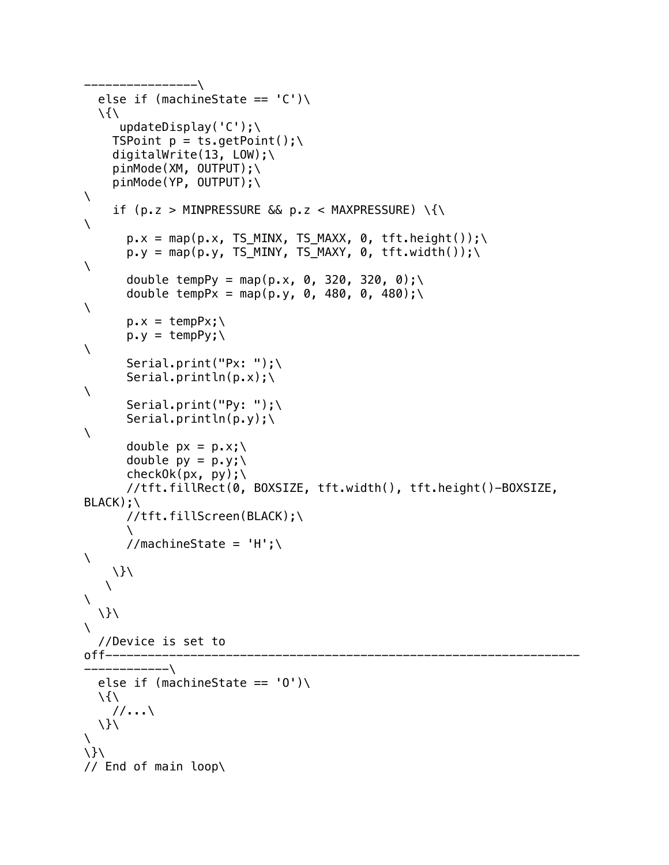```
----------------\
  else if (machineState == (C')\\langle \rangle updateDisplay('C');\
    TSPoint p = ts.getPoint();
     digitalWrite(13, LOW);\
     pinMode(XM, OUTPUT);\
     pinMode(YP, OUTPUT);\
\lambdaif (p.z > MINPRESSURE \& p.z < MAXPRESSURE) \{\
\lambdap.x = map(p.x, TS_MINK, TS_MAXX, 0, tft.height());
      p.y = map(p.y, TS_MINY, TS_MAXY, 0, tft.width());
\lambdadouble tempPy = map(p.x, 0, 320, 320, 0);\
       double tempPx = map(p.y, 0, 480, 0, 480);\
\lambdap.x = tempPx; \p.y = tempPy; \\lambda Serial.print("Px: ");\
      Serial.println(p.x);
\lambda Serial.print("Py: ");\
       Serial.println(p.y); \\lambdadouble px = p.x;\lambdadouble py = p \cdot y;
       checkOk(px, py); \ //tft.fillRect(0, BOXSIZE, tft.width(), tft.height()-BOXSIZE, 
BLACK); \
       //tft.fillScreen(BLACK);\
\sim \sim \sim//machineState = 'H';\\lambda \}\
   \lambda\lambda \}\
\
   //Device is set to 
off----------
------------\
  else if (machineState == '0')
  \setminus //...\
   \}\
\lambda\}\
// End of main loop\
```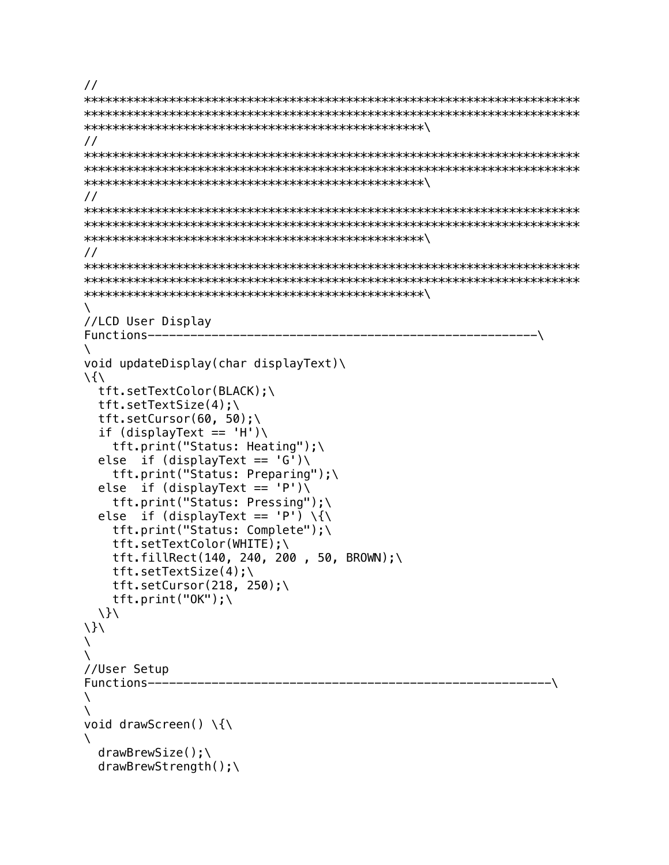```
\frac{1}{2}\frac{1}{2}\frac{1}{2}\frac{1}{2}X
//LCD User Display
Functions---------
                               –\
V
void updateDisplay(char displayText)\
\frac{1}{2}tft.setTextColor(BLACK);\
 tft.setTextSize(4):tft.setCursor(60, 50);\
 if (displayText == 'H')\tft.print("Status: Heating"):\
 else if (displayText == 'G')\tft.print("Status: Preparing");\
 else if (displayText == 'P')\tft.print("Status: Pressing");\
 else if (displayText == 'P') \{\
  tft.print("Status: Complete");\
  tft.setTextColor(WHITE);\
  tft.fillRect(140, 240, 200, 50, BROWN);\
  tft.setTextSize(4);tft.setCursor(218, 250);\
 tft.print(''0K'');\\setminus\setminusN
N
//User Setup
                           --------- - -Functions-------
X
N
void drawScreen() \{\
N
 drawBrewSize():
 drawBrewStrength();
```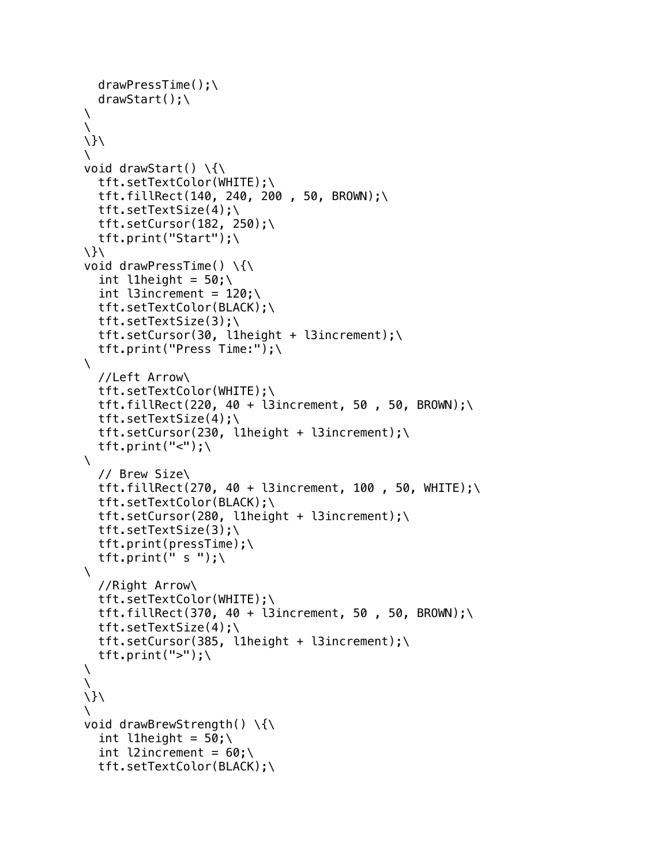```
 drawPressTime();\
   drawStart();\
\setminus\
\setminus}
\lambdavoid drawStart() \setminus \{\setminus\} tft.setTextColor(WHITE);\
   tft.fillRect(140, 240, 200 , 50, BROWN);\
   tft.setTextSize(4);\
  tft.setCursor(182, 250);\
   tft.print("Start");\
\}\
void drawPressTime() \setminus \{\setminus\}int l1height = 50;
  int l3increment = 120;
   tft.setTextColor(BLACK);\
   tft.setTextSize(3);\
   tft.setCursor(30, l1height + l3increment);\
   tft.print("Press Time:");\
\lambda //Left Arrow\
   tft.setTextColor(WHITE);\
  tft.fillRect(220, 40 + l3increment, 50, 50, BROWN);\
   tft.setTextSize(4);\
   tft.setCursor(230, l1height + l3increment);\
  tft.print("\langle");\
\lambda // Brew Size\
  tft.fillRect(270, 40 + l3increment, 100, 50, WHITE);\
   tft.setTextColor(BLACK);\
   tft.setCursor(280, l1height + l3increment);\
   tft.setTextSize(3);\
   tft.print(pressTime);\
  tft.print(" s ");\
\lambda //Right Arrow\
   tft.setTextColor(WHITE);\
  tft.fillRect(370, 40 + l3increment, 50, 50, BROWN);\
   tft.setTextSize(4);\
   tft.setCursor(385, l1height + l3increment);\
  tft.print(">");\
\setminus\lambda\setminus\
void drawBrewStrength() \{\
  int l1height = 50;
  int l2increment = 60;
   tft.setTextColor(BLACK);\
```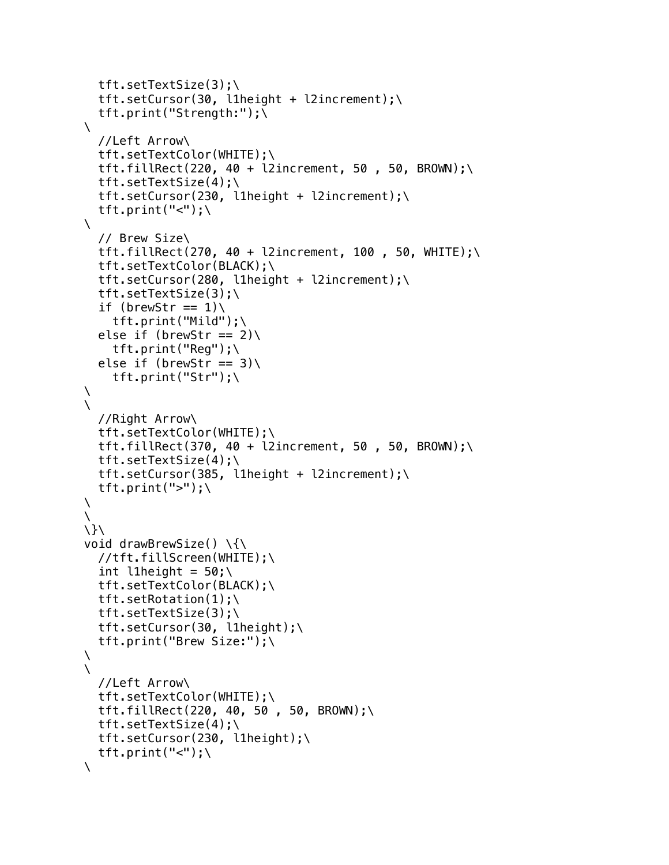```
 tft.setTextSize(3);\
   tft.setCursor(30, l1height + l2increment);\
   tft.print("Strength:");\
\lambda //Left Arrow\
   tft.setTextColor(WHITE);\
  tft.fillRect(220, 40 + l2increment, 50, 50, BROWN);\
   tft.setTextSize(4);\
   tft.setCursor(230, l1height + l2increment);\
  tft.print("\langle"\rangle;\
\mathcal{L} // Brew Size\
  tft.fillRect(270, 40 + l2increment, 100, 50, WHITE);\
   tft.setTextColor(BLACK);\
   tft.setCursor(280, l1height + l2increment);\
   tft.setTextSize(3);\
  if (brewStr == 1))
     tft.print("Mild");\
  else if (brewStr == 2))
    tft.print("Reg");\
  else if (brewStr == 3))
     tft.print("Str");\
\setminus\lambda //Right Arrow\
   tft.setTextColor(WHITE);\
  tft.fillRect(370, 40 + l2increment, 50, 50, BROWN);\
   tft.setTextSize(4);\
   tft.setCursor(385, l1height + l2increment);\
  tft.print(">");\
\
\lambda\}\
void drawBrewSize() \{\
   //tft.fillScreen(WHITE);\
  int l1height = 50;
   tft.setTextColor(BLACK);\
   tft.setRotation(1);\
   tft.setTextSize(3);\
   tft.setCursor(30, l1height);\
   tft.print("Brew Size:");\
\lambda\lambda //Left Arrow\
   tft.setTextColor(WHITE);\
   tft.fillRect(220, 40, 50 , 50, BROWN);\
   tft.setTextSize(4);\
   tft.setCursor(230, l1height);\
  tft.print("\langle"\rangle;
\setminus
```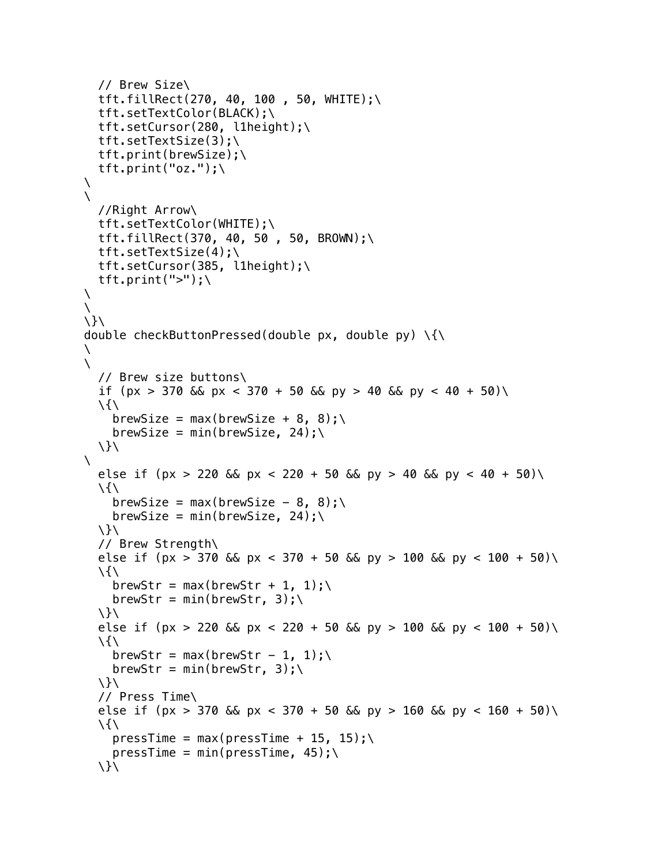```
 // Brew Size\
  tft.fillRect(270, 40, 100, 50, WHITE);\
   tft.setTextColor(BLACK);\
   tft.setCursor(280, l1height);\
   tft.setTextSize(3);\
   tft.print(brewSize);\
   tft.print("oz.");\
\setminus\lambda //Right Arrow\
   tft.setTextColor(WHITE);\
   tft.fillRect(370, 40, 50 , 50, BROWN);\
   tft.setTextSize(4);\
   tft.setCursor(385, l1height);\
  tft.print(">");\
\setminus\lambda\}\
double checkButtonPressed(double px, double py) \{\
\lambda\lambda // Brew size buttons\
  if (px > 370 & bx < 370 + 50 & by > 40 & py < 40 + 50)
  \langle \ranglebrewSize = max(brewSize + 8, 8);
    brewSize = min(brewSize, 24);\lambda\lambdaelse if (px > 220 && px < 220 + 50 && py > 40 && py < 40 + 50)\
  \langle \ranglebrewSize = max(brewSize - 8, 8);\
    brewSize = min(brewSize, 24);
   \}\
   // Brew Strength\
  else if (px > 370 && px < 370 + 50 && py > 100 && py < 100 + 50)\
  \setminusbrewStr = max(brewStr + 1, 1);brewStr = min(brewStr, 3); \ \}\
  else if (px > 220 && px < 220 + 50 && py > 100 && py < 100 + 50)\
  \langle \ranglebrewStr = max(brewStr - 1, 1);brewStr = min(brewStr, 3); \ \}\
   // Press Time\
  else if (px > 370 && px < 370 + 50 && py > 160 && py < 160 + 50)\
  \lambdapressTime = max(pressTime + 15, 15);\
    pressTime = min(pressTime, 45); \}\
```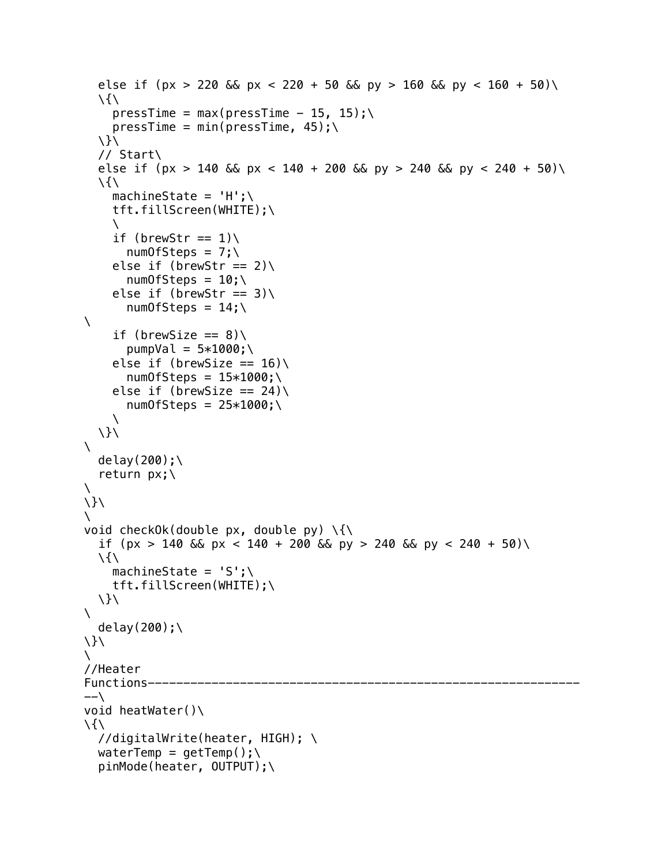```
else if (px > 220 && px < 220 + 50 && py > 160 && py < 160 + 50)\
  \setminuspressTime = max(pressTime - 15, 15);\
    pressTime = min(pressTime, 45);\setminus // Start\
  else if (px > 140 && px < 140 + 200 && py > 240 && py < 240 + 50)\
  \langle \ranglemachineState = 'H';\ tft.fillScreen(WHITE);\
    \lambdaif (brewStr == 1))
       numOfSteps = 7; \else if (brewStr == 2))
       numOfSteps = 10; \else if (brewStr == 3))
       numOfSteps = 14; \\lambdaif (brewSize == 8))
       pumpVal = 5*1000; \setminuselse if (brewSize == 16))
       numOfSteps = 15*1000; \else if (brewSize == 24))
       numOfSteps = 25*1000; \\lambda\lambda\lambdadelay(200);\
   return px;\
\setminus\setminus\lambdavoid checkOk(double px, double py) \{\{\}if (px > 140 && px < 140 + 200 && py > 240 && py < 240 + 50)\
  \langle \ranglemachineState = 'S':\setminus tft.fillScreen(WHITE);\
   \}\
\lambdadelay(200);\
\}\
\setminus//Heater 
Functions---
--\backslashvoid heatWater()\
\setminus //digitalWrite(heater, HIGH); \
  waterTemp = getTemp();\
   pinMode(heater, OUTPUT);\
```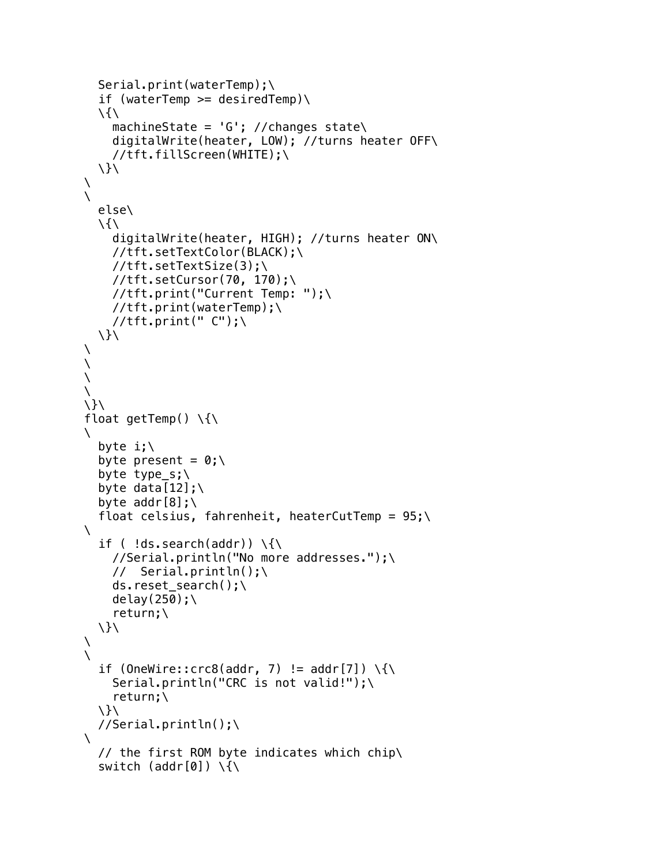```
 Serial.print(waterTemp);\
  if (waterTemp >= desiredTemp)\
  \langle \ranglemachineState = 'G'; //changes state\
      digitalWrite(heater, LOW); //turns heater OFF\
      //tft.fillScreen(WHITE);\
  \setminus}
\setminus\lambda else\
  \langle \rangle digitalWrite(heater, HIGH); //turns heater ON\
      //tft.setTextColor(BLACK);\
      //tft.setTextSize(3);\
      //tft.setCursor(70, 170);\
      //tft.print("Current Temp: ");\
      //tft.print(waterTemp);\
    //tft.print(" C");\
   \}\
\setminus\setminus\setminus\setminus\lambdafloat getTemp() \setminus \{\setminus\}\lambdabyte i:\Upsilonbyte present = 0; \ byte type_s;\
  byte data[12];
  byte addr[8];\
  float celsius, fahrenheit, heaterCutTemp = 95;
\lambdaif ( !ds.\,search(addr) ) \{\
      //Serial.println("No more addresses.");\
      // Serial.println();\
     ds.reset_search();\
     delay(250);\
      return;\
  \setminus}
\lambda\lambdaif (OneWire::crc8(addr, 7) != addr[7]) \setminus {\{\}}Serial.println("CRC is not valid!");\
      return;\
  \setminus}
   //Serial.println();\
\lambda // the first ROM byte indicates which chip\
  switch (addr[0]) \setminus \set
```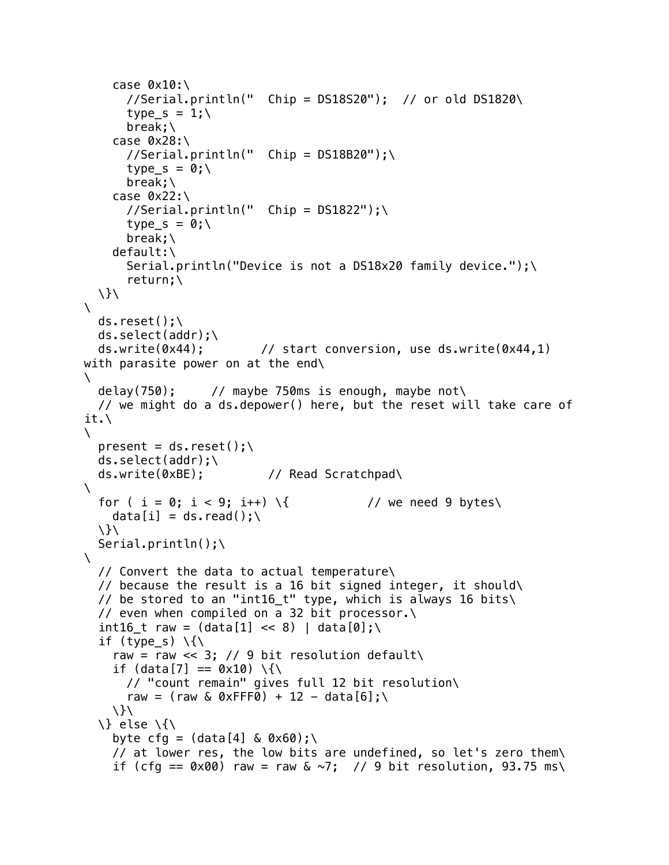```
case 0 \times 10:
      //Serial.println(" Chip = D518520"); // or old DS1820\type s = 1;
       break;\
    case 0x28://Serial.println(" Chip = DS18B20");
       type_s = 0;\
       break;\
    case 0x22:\//Serial.println(" Chip = DS1822");
      type s = 0:
       break;\
     default:\
       Serial.println("Device is not a DS18x20 family device.");\
       return;\
  \setminus}
\lambdads.reset();\
  ds.\text{select}(\text{addr});\setminus ds.write(0x44); // start conversion, use ds.write(0x44,1) 
with parasite power on at the end\
\lambdadelay(750); \frac{1}{10} maybe 750ms is enough, maybe not
   // we might do a ds.depower() here, but the reset will take care of 
it.\
\setminuspresent = ds.reset():\
   ds.select(addr);\
   ds.write(0xBE); // Read Scratchpad\
\lambdafor ( i = 0; i < 9; i++) \{ // we need 9 bytes\
    data[i] = ds.read():
   \}\
  Serial.println();\
\lambda // Convert the data to actual temperature\
  // because the result is a 16 bit signed integer, it should
   // be stored to an "int16_t" type, which is always 16 bits\
   // even when compiled on a 32 bit processor.\
  int16 t raw = (data[1] << 8) | data[0];\
  if (type s) \{\{\}raw = raw << 3; // 9 bit resolution default\
    if (data[7] == 0 \times 10) \{\
       // "count remain" gives full 12 bit resolution\
      raw = (raw & 0xFFF0) + 12 - data[6];\
    \setminus \} else \{\
    byte cfg = (data[4] \& 0 \times 60);
     // at lower res, the low bits are undefined, so let's zero them\
    if (cfg == 0 \times 00) raw = raw & \sim7; // 9 bit resolution, 93.75 ms\
```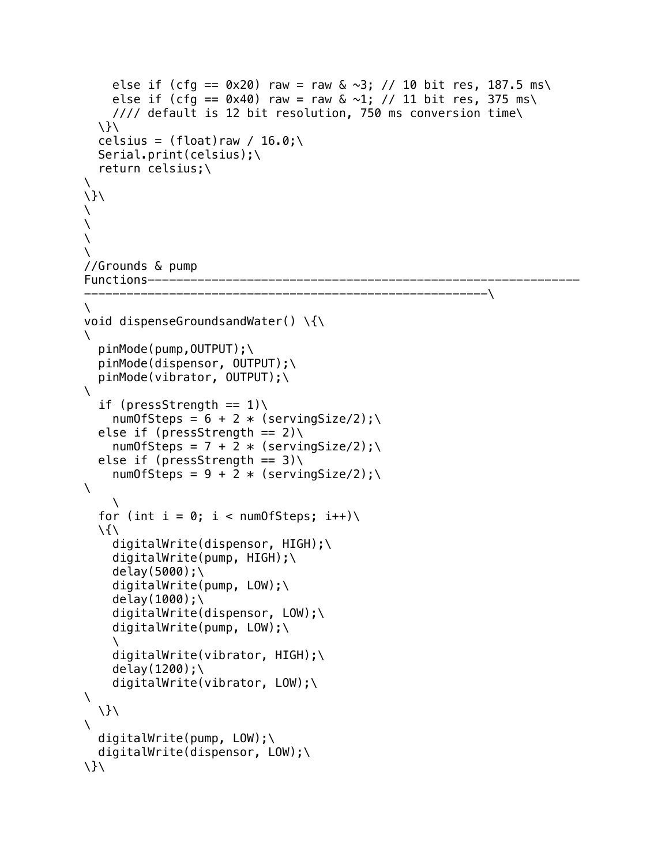```
else if (cfg == 0 \times 20) raw = raw & \sim 3; // 10 bit res, 187.5 ms\
    else if (cfg == 0x40) raw = raw \& \sim 1; // 11 bit res, 375 ms\
     //// default is 12 bit resolution, 750 ms conversion time\
  \setminuscelsius = (float)raw / 16.0;
   Serial.print(celsius);\
   return celsius;\
\
\}\
\
\setminus\setminus\
//Grounds & pump 
Functions-------------------------------------------------------------
                ---------------------------------------------------------\
\setminusvoid dispenseGroundsandWater() \{\
\lambda pinMode(pump,OUTPUT);\
   pinMode(dispensor, OUTPUT);\
   pinMode(vibrator, OUTPUT);\
\lambdaif (pressStrength == 1))
    numOfSteps = 6 + 2 * (servingSize/2);else if (pressStrength == 2))
    numOfSteps = 7 + 2 * (servingSize/2); \n\else if (pressStrength == 3))
    numOfSteps = 9 + 2 * (servingSize/2); \n\\lambda\setminusfor (int i = 0; i < numOfSteps; i++)
  \setminusdigitalWrite(dispensor, HIGH);\
    digitalWrite(pump, HIGH);\
    delay(5000);\
    digitalWrite(pump, LOW);\
    delay(1000);\
    digitalWrite(dispensor, LOW);\
    digitalWrite(pump, LOW);\
    \setminusdigitalWrite(vibrator, HIGH);\
    delay(1200);\
    digitalWrite(vibrator, LOW);\
\lambda\setminus\lambdadigitalWrite(pump, LOW);\
  digitalWrite(dispensor, LOW);\
\setminus}
```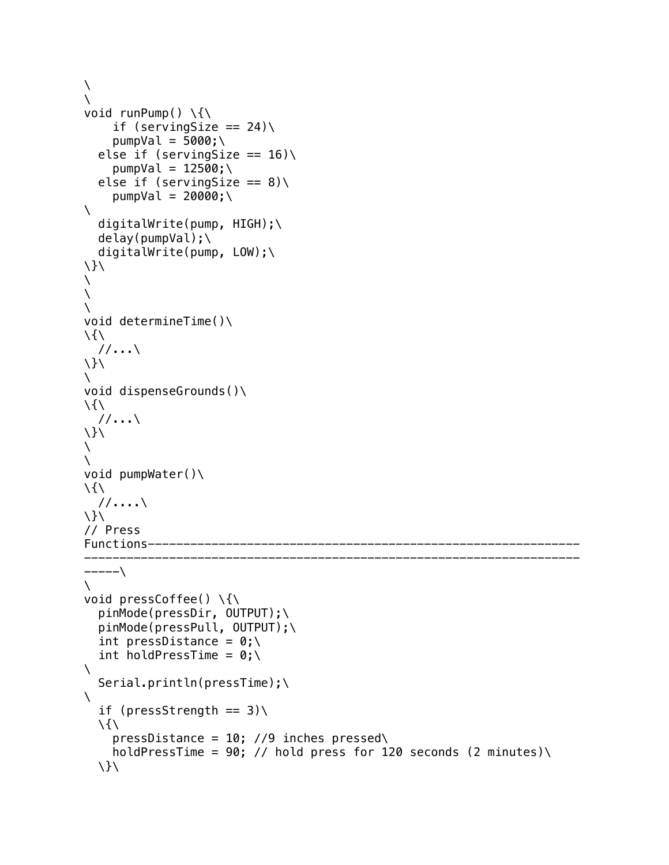```
\lambda\lambdavoid runPump() \setminus \{\setminus\}if (servingSize == 24))
     pumpVal = 5000; \setminuselse if (servingSize == 16)
     pumpVal = 12500; \setminuselse if (servingSize == 8))
     pumpVal = 20000; \setminus\lambdadigitalWrite(pump, HIGH);\
   delay(pumpVal);\
   digitalWrite(pump, LOW);\
\}\
\
\setminus\lambdavoid determineTime()\setminus\langle \rangle\frac{1}{1}...
\setminus\lambdavoid dispenseGrounds()\
\setminus //...\
\lambda\lambda\setminusvoid pumpWater()\
\langle \rangle //....\
\setminus// Press 
Functions-------
----------------------------------------------------------------------
----\&\lambdavoid pressCoffee() \setminus{\setminus pinMode(pressDir, OUTPUT);\
   pinMode(pressPull, OUTPUT);\
  int pressDistance = 0; \int holdPressTime = 0;\lambda\lambda Serial.println(pressTime);\
\setminusif (pressStrength == 3))
  \setminuspressDistance = 10; //9 inches pressed\
     holdPressTime = 90; // hold press for 120 seconds (2 minutes)\
  \setminus
```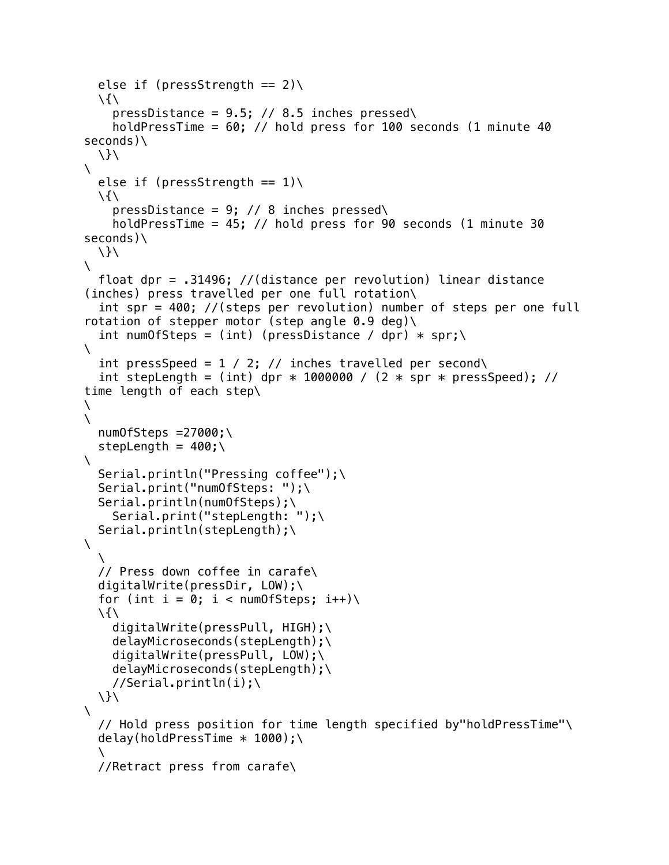```
else if (pressStrength == 2))
  \setminuspressDistance = 9.5; // 8.5 inches pressed\
    holdPressTime = 60; // hold press for 100 seconds (1 minute 40
seconds)\
   \}\
\lambdaelse if (pressStrength == 1))
  \langle \ranglepressDistance = 9; // 8 inches pressed\
     holdPressTime = 45; // hold press for 90 seconds (1 minute 30 
seconds)\
  \setminus\setminus float dpr = .31496; //(distance per revolution) linear distance 
(inches) press travelled per one full rotation\
   int spr = 400; //(steps per revolution) number of steps per one full 
rotation of stepper motor (step angle 0.9 deg)\
  int numOfSteps = (int) (pressDistance / dpr) * spr;\
\lambdaint pressSpeed = 1 / 2; // inches travelled per second\
  int stepLength = (int) dpr * 1000000 / (2 * spr * pressSpeed); //
time length of each step\
\lambda\lambdanumOfSteps = 27000; \stepLength = 400;
\lambdaSerial.println("Pressing coffee");\
  Serial.print("numOfSteps: ");\
   Serial.println(numOfSteps);\
     Serial.print("stepLength: ");\
   Serial.println(stepLength);\
\lambda\lambda // Press down coffee in carafe\
  digitalWrite(pressDir, LOW);\
  for (int i = 0; i < numOfSteps; i++)\
  \langle \rangle digitalWrite(pressPull, HIGH);\
     delayMicroseconds(stepLength);\
    digitalWrite(pressPull, LOW);\
     delayMicroseconds(stepLength);\
    //Serial.println(i);\
  \lambda\lambda // Hold press position for time length specified by"holdPressTime"\
  delay(holdPressTime * 1000);\
\lambda //Retract press from carafe\
```